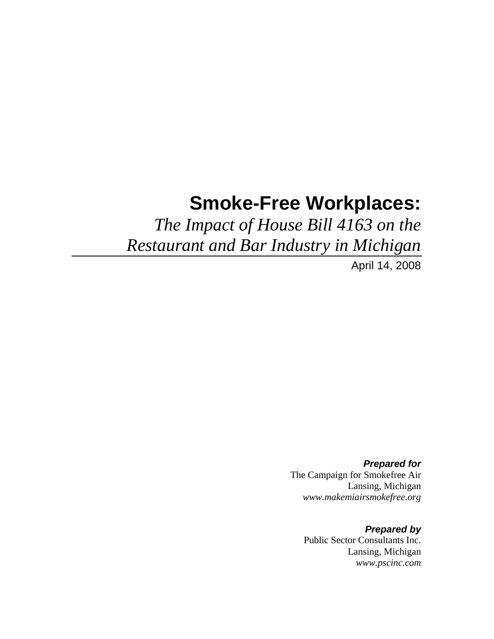# **Smoke-Free Workplaces:**

*The Impact of House Bill 4163 on the Restaurant and Bar Industry in Michigan*

April 14, 2008

*Prepared for*  The Campaign for Smokefree Air Lansing, Michigan *www.makemiairsmokefree.org*

*Prepared by*  Public Sector Consultants Inc. Lansing, Michigan *www.pscinc.com*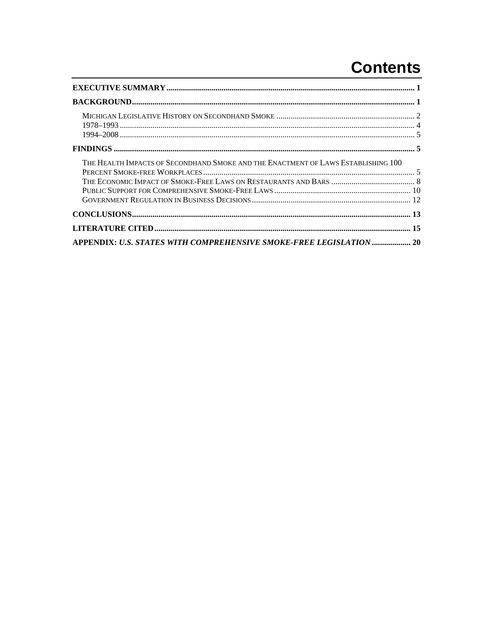# **Contents**

| THE HEALTH IMPACTS OF SECONDHAND SMOKE AND THE ENACTMENT OF LAWS ESTABLISHING 100 |  |  |
|-----------------------------------------------------------------------------------|--|--|
|                                                                                   |  |  |
|                                                                                   |  |  |
| APPENDIX: U.S. STATES WITH COMPREHENSIVE SMOKE-FREE LEGISLATION  20               |  |  |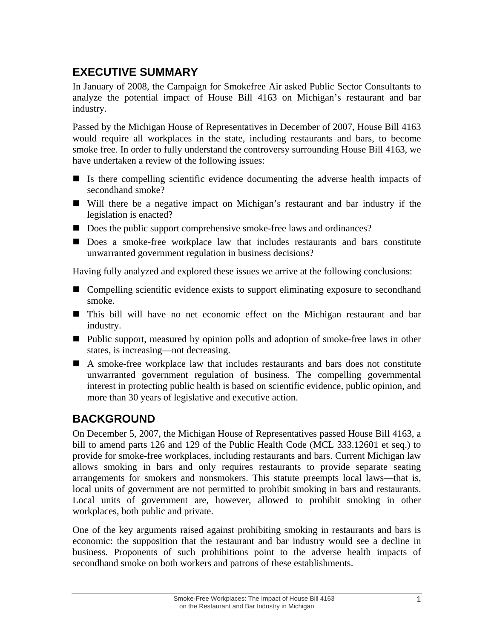# <span id="page-4-0"></span>**EXECUTIVE SUMMARY**

In January of 2008, the Campaign for Smokefree Air asked Public Sector Consultants to analyze the potential impact of House Bill 4163 on Michigan's restaurant and bar industry.

Passed by the Michigan House of Representatives in December of 2007, House Bill 4163 would require all workplaces in the state, including restaurants and bars, to become smoke free. In order to fully understand the controversy surrounding House Bill 4163, we have undertaken a review of the following issues:

- Is there compelling scientific evidence documenting the adverse health impacts of secondhand smoke?
- Will there be a negative impact on Michigan's restaurant and bar industry if the legislation is enacted?
- Does the public support comprehensive smoke-free laws and ordinances?
- Does a smoke-free workplace law that includes restaurants and bars constitute unwarranted government regulation in business decisions?

Having fully analyzed and explored these issues we arrive at the following conclusions:

- Compelling scientific evidence exists to support eliminating exposure to secondhand smoke.
- This bill will have no net economic effect on the Michigan restaurant and bar industry.
- Public support, measured by opinion polls and adoption of smoke-free laws in other states, is increasing—not decreasing.
- A smoke-free workplace law that includes restaurants and bars does not constitute unwarranted government regulation of business. The compelling governmental interest in protecting public health is based on scientific evidence, public opinion, and more than 30 years of legislative and executive action.

# **BACKGROUND**

On December 5, 2007, the Michigan House of Representatives passed House Bill 4163, a bill to amend parts 126 and 129 of the Public Health Code (MCL 333.12601 et seq.) to provide for smoke-free workplaces, including restaurants and bars. Current Michigan law allows smoking in bars and only requires restaurants to provide separate seating arrangements for smokers and nonsmokers. This statute preempts local laws—that is, local units of government are not permitted to prohibit smoking in bars and restaurants. Local units of government are, however, allowed to prohibit smoking in other workplaces, both public and private.

One of the key arguments raised against prohibiting smoking in restaurants and bars is economic: the supposition that the restaurant and bar industry would see a decline in business. Proponents of such prohibitions point to the adverse health impacts of secondhand smoke on both workers and patrons of these establishments.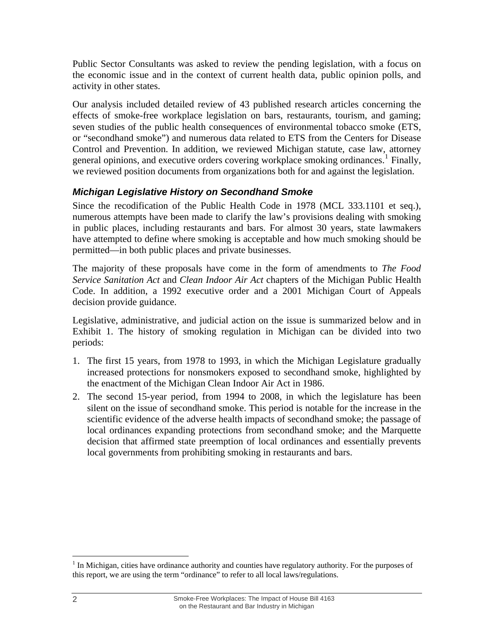<span id="page-5-0"></span>Public Sector Consultants was asked to review the pending legislation, with a focus on the economic issue and in the context of current health data, public opinion polls, and activity in other states.

Our analysis included detailed review of 43 published research articles concerning the effects of smoke-free workplace legislation on bars, restaurants, tourism, and gaming; seven studies of the public health consequences of environmental tobacco smoke (ETS, or "secondhand smoke") and numerous data related to ETS from the Centers for Disease Control and Prevention. In addition, we reviewed Michigan statute, case law, attorney general opinions, and executive orders covering workplace smoking ordinances.<sup>[1](#page-5-1)</sup> Finally, we reviewed position documents from organizations both for and against the legislation.

## *Michigan Legislative History on Secondhand Smoke*

Since the recodification of the Public Health Code in 1978 (MCL 333.1101 et seq.), numerous attempts have been made to clarify the law's provisions dealing with smoking in public places, including restaurants and bars. For almost 30 years, state lawmakers have attempted to define where smoking is acceptable and how much smoking should be permitted—in both public places and private businesses.

The majority of these proposals have come in the form of amendments to *The Food Service Sanitation Act* and *Clean Indoor Air Act* chapters of the Michigan Public Health Code. In addition, a 1992 executive order and a 2001 Michigan Court of Appeals decision provide guidance.

Legislative, administrative, and judicial action on the issue is summarized below and in Exhibit 1. The history of smoking regulation in Michigan can be divided into two periods:

- 1. The first 15 years, from 1978 to 1993, in which the Michigan Legislature gradually increased protections for nonsmokers exposed to secondhand smoke, highlighted by the enactment of the Michigan Clean Indoor Air Act in 1986.
- 2. The second 15-year period, from 1994 to 2008, in which the legislature has been silent on the issue of secondhand smoke. This period is notable for the increase in the scientific evidence of the adverse health impacts of secondhand smoke; the passage of local ordinances expanding protections from secondhand smoke; and the Marquette decision that affirmed state preemption of local ordinances and essentially prevents local governments from prohibiting smoking in restaurants and bars.

<span id="page-5-1"></span> $\overline{a}$  $<sup>1</sup>$  In Michigan, cities have ordinance authority and counties have regulatory authority. For the purposes of</sup> this report, we are using the term "ordinance" to refer to all local laws/regulations.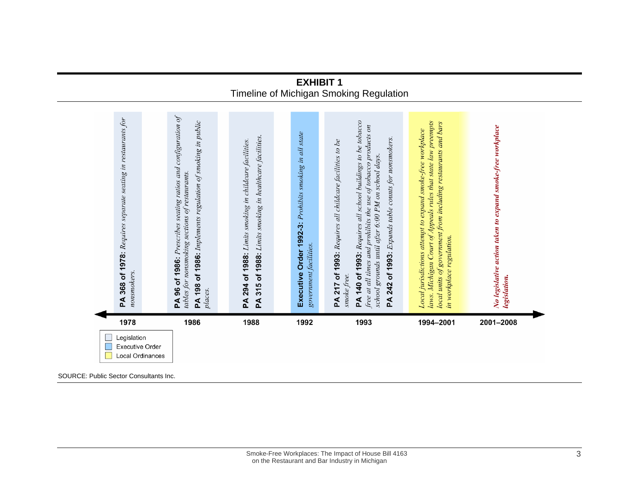#### **EXHIBIT 1** Timeline of Michigan Smoking Regulation

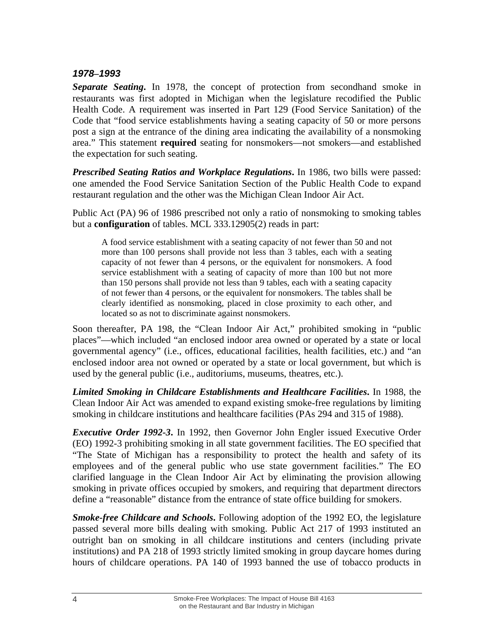#### <span id="page-7-0"></span>*1978–1993*

*Separate Seating***.** In 1978, the concept of protection from secondhand smoke in restaurants was first adopted in Michigan when the legislature recodified the Public Health Code. A requirement was inserted in Part 129 (Food Service Sanitation) of the Code that "food service establishments having a seating capacity of 50 or more persons post a sign at the entrance of the dining area indicating the availability of a nonsmoking area." This statement **required** seating for nonsmokers—not smokers—and established the expectation for such seating.

*Prescribed Seating Ratios and Workplace Regulations***.** In 1986, two bills were passed: one amended the Food Service Sanitation Section of the Public Health Code to expand restaurant regulation and the other was the Michigan Clean Indoor Air Act.

Public Act (PA) 96 of 1986 prescribed not only a ratio of nonsmoking to smoking tables but a **configuration** of tables. MCL 333.12905(2) reads in part:

A food service establishment with a seating capacity of not fewer than 50 and not more than 100 persons shall provide not less than 3 tables, each with a seating capacity of not fewer than 4 persons, or the equivalent for nonsmokers. A food service establishment with a seating of capacity of more than 100 but not more than 150 persons shall provide not less than 9 tables, each with a seating capacity of not fewer than 4 persons, or the equivalent for nonsmokers. The tables shall be clearly identified as nonsmoking, placed in close proximity to each other, and located so as not to discriminate against nonsmokers.

Soon thereafter, PA 198, the "Clean Indoor Air Act," prohibited smoking in "public places"—which included "an enclosed indoor area owned or operated by a state or local governmental agency" (i.e., offices, educational facilities, health facilities, etc.) and "an enclosed indoor area not owned or operated by a state or local government, but which is used by the general public (i.e., auditoriums, museums, theatres, etc.).

*Limited Smoking in Childcare Establishments and Healthcare Facilities***.** In 1988, the Clean Indoor Air Act was amended to expand existing smoke-free regulations by limiting smoking in childcare institutions and healthcare facilities (PAs 294 and 315 of 1988).

*Executive Order 1992-3***.** In 1992, then Governor John Engler issued Executive Order (EO) 1992-3 prohibiting smoking in all state government facilities. The EO specified that "The State of Michigan has a responsibility to protect the health and safety of its employees and of the general public who use state government facilities." The EO clarified language in the Clean Indoor Air Act by eliminating the provision allowing smoking in private offices occupied by smokers, and requiring that department directors define a "reasonable" distance from the entrance of state office building for smokers.

*Smoke-free Childcare and Schools***.** Following adoption of the 1992 EO, the legislature passed several more bills dealing with smoking. Public Act 217 of 1993 instituted an outright ban on smoking in all childcare institutions and centers (including private institutions) and PA 218 of 1993 strictly limited smoking in group daycare homes during hours of childcare operations. PA 140 of 1993 banned the use of tobacco products in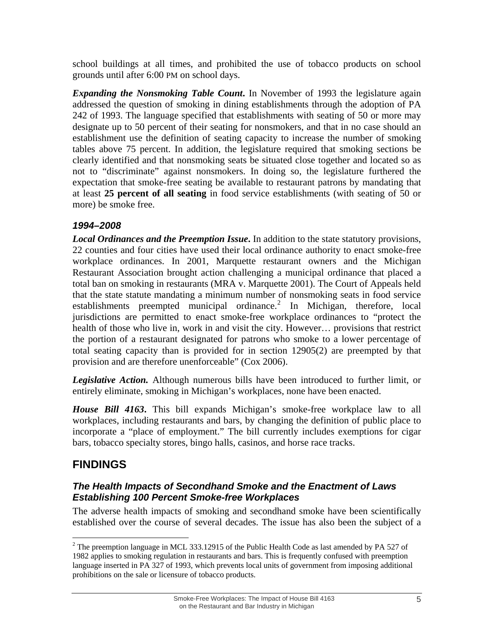<span id="page-8-0"></span>school buildings at all times, and prohibited the use of tobacco products on school grounds until after 6:00 PM on school days.

*Expanding the Nonsmoking Table Count***.** In November of 1993 the legislature again addressed the question of smoking in dining establishments through the adoption of PA 242 of 1993. The language specified that establishments with seating of 50 or more may designate up to 50 percent of their seating for nonsmokers, and that in no case should an establishment use the definition of seating capacity to increase the number of smoking tables above 75 percent. In addition, the legislature required that smoking sections be clearly identified and that nonsmoking seats be situated close together and located so as not to "discriminate" against nonsmokers. In doing so, the legislature furthered the expectation that smoke-free seating be available to restaurant patrons by mandating that at least **25 percent of all seating** in food service establishments (with seating of 50 or more) be smoke free.

## *1994–2008*

*Local Ordinances and the Preemption Issue*. In addition to the state statutory provisions, 22 counties and four cities have used their local ordinance authority to enact smoke-free workplace ordinances. In 2001, Marquette restaurant owners and the Michigan Restaurant Association brought action challenging a municipal ordinance that placed a total ban on smoking in restaurants (MRA v. Marquette 2001). The Court of Appeals held that the state statute mandating a minimum number of nonsmoking seats in food service establishments preempted municipal ordinance.<sup>[2](#page-8-0)</sup> In Michigan, therefore, local jurisdictions are permitted to enact smoke-free workplace ordinances to "protect the health of those who live in, work in and visit the city. However… provisions that restrict the portion of a restaurant designated for patrons who smoke to a lower percentage of total seating capacity than is provided for in section 12905(2) are preempted by that provision and are therefore unenforceable" (Cox 2006).

*Legislative Action.* Although numerous bills have been introduced to further limit, or entirely eliminate, smoking in Michigan's workplaces, none have been enacted.

*House Bill 4163***.** This bill expands Michigan's smoke-free workplace law to all workplaces, including restaurants and bars, by changing the definition of public place to incorporate a "place of employment." The bill currently includes exemptions for cigar bars, tobacco specialty stores, bingo halls, casinos, and horse race tracks.

# **FINDINGS**

## *The Health Impacts of Secondhand Smoke and the Enactment of Laws Establishing 100 Percent Smoke-free Workplaces*

The adverse health impacts of smoking and secondhand smoke have been scientifically established over the course of several decades. The issue has also been the subject of a

 $\overline{a}$ <sup>2</sup> The preemption language in MCL 333.12915 of the Public Health Code as last amended by PA 527 of 1982 applies to smoking regulation in restaurants and bars. This is frequently confused with preemption language inserted in PA 327 of 1993, which prevents local units of government from imposing additional prohibitions on the sale or licensure of tobacco products.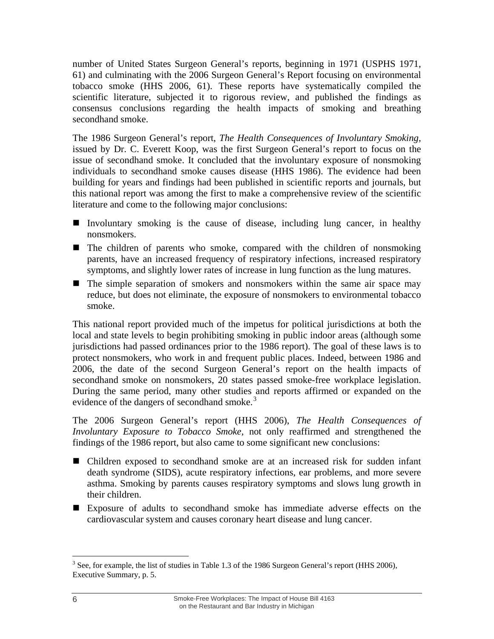<span id="page-9-0"></span>number of United States Surgeon General's reports, beginning in 1971 (USPHS 1971, 61) and culminating with the 2006 Surgeon General's Report focusing on environmental tobacco smoke (HHS 2006, 61). These reports have systematically compiled the scientific literature, subjected it to rigorous review, and published the findings as consensus conclusions regarding the health impacts of smoking and breathing secondhand smoke.

The 1986 Surgeon General's report, *The Health Consequences of Involuntary Smoking,*  issued by Dr. C. Everett Koop, was the first Surgeon General's report to focus on the issue of secondhand smoke. It concluded that the involuntary exposure of nonsmoking individuals to secondhand smoke causes disease (HHS 1986). The evidence had been building for years and findings had been published in scientific reports and journals, but this national report was among the first to make a comprehensive review of the scientific literature and come to the following major conclusions:

- Involuntary smoking is the cause of disease, including lung cancer, in healthy nonsmokers.
- The children of parents who smoke, compared with the children of nonsmoking parents, have an increased frequency of respiratory infections, increased respiratory symptoms, and slightly lower rates of increase in lung function as the lung matures.
- The simple separation of smokers and nonsmokers within the same air space may reduce, but does not eliminate, the exposure of nonsmokers to environmental tobacco smoke.

This national report provided much of the impetus for political jurisdictions at both the local and state levels to begin prohibiting smoking in public indoor areas (although some jurisdictions had passed ordinances prior to the 1986 report). The goal of these laws is to protect nonsmokers, who work in and frequent public places. Indeed, between 1986 and 2006, the date of the second Surgeon General's report on the health impacts of secondhand smoke on nonsmokers, 20 states passed smoke-free workplace legislation. During the same period, many other studies and reports affirmed or expanded on the evidence of the dangers of secondhand smoke. $3$ 

The 2006 Surgeon General's report (HHS 2006), *The Health Consequences of Involuntary Exposure to Tobacco Smoke,* not only reaffirmed and strengthened the findings of the 1986 report, but also came to some significant new conclusions:

- Children exposed to secondhand smoke are at an increased risk for sudden infant death syndrome (SIDS), acute respiratory infections, ear problems, and more severe asthma. Smoking by parents causes respiratory symptoms and slows lung growth in their children.
- Exposure of adults to secondhand smoke has immediate adverse effects on the cardiovascular system and causes coronary heart disease and lung cancer.

 $\overline{a}$  $3$  See, for example, the list of studies in Table 1.3 of the 1986 Surgeon General's report (HHS 2006), Executive Summary, p. 5.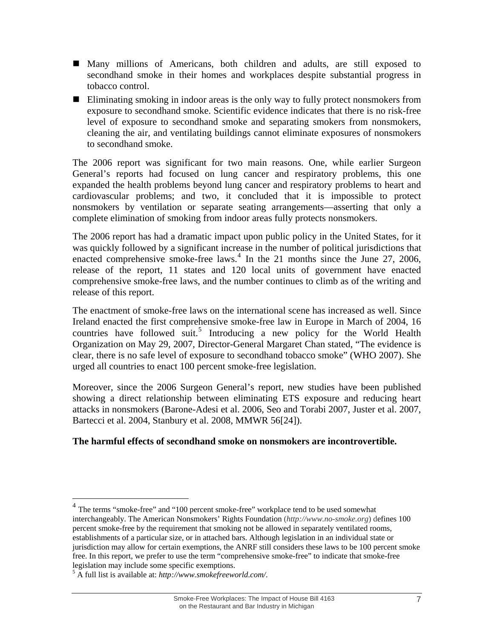- <span id="page-10-0"></span> Many millions of Americans, both children and adults, are still exposed to secondhand smoke in their homes and workplaces despite substantial progress in tobacco control.
- Eliminating smoking in indoor areas is the only way to fully protect nonsmokers from exposure to secondhand smoke. Scientific evidence indicates that there is no risk-free level of exposure to secondhand smoke and separating smokers from nonsmokers, cleaning the air, and ventilating buildings cannot eliminate exposures of nonsmokers to secondhand smoke.

The 2006 report was significant for two main reasons. One, while earlier Surgeon General's reports had focused on lung cancer and respiratory problems, this one expanded the health problems beyond lung cancer and respiratory problems to heart and cardiovascular problems; and two, it concluded that it is impossible to protect nonsmokers by ventilation or separate seating arrangements—asserting that only a complete elimination of smoking from indoor areas fully protects nonsmokers.

The 2006 report has had a dramatic impact upon public policy in the United States, for it was quickly followed by a significant increase in the number of political jurisdictions that enacted comprehensive smoke-free laws.<sup>[4](#page-10-0)</sup> In the 21 months since the June 27, 2006, release of the report, 11 states and 120 local units of government have enacted comprehensive smoke-free laws, and the number continues to climb as of the writing and release of this report.

The enactment of smoke-free laws on the international scene has increased as well. Since Ireland enacted the first comprehensive smoke-free law in Europe in March of 2004, 16 countries have followed suit.<sup>[5](#page-10-0)</sup> Introducing a new policy for the World Health Organization on May 29, 2007, Director-General Margaret Chan stated, "The evidence is clear, there is no safe level of exposure to secondhand tobacco smoke" (WHO 2007). She urged all countries to enact 100 percent smoke-free legislation.

Moreover, since the 2006 Surgeon General's report, new studies have been published showing a direct relationship between eliminating ETS exposure and reducing heart attacks in nonsmokers (Barone-Adesi et al. 2006, Seo and Torabi 2007, Juster et al. 2007, Bartecci et al. 2004, Stanbury et al. 2008, MMWR 56[24]).

#### **The harmful effects of secondhand smoke on nonsmokers are incontrovertible.**

 $\overline{a}$ 

<sup>&</sup>lt;sup>4</sup> The terms "smoke-free" and "100 percent smoke-free" workplace tend to be used somewhat interchangeably. The American Nonsmokers' Rights Foundation (*[http://www.no-smoke.org](http://www.no-smoke.org/)*) defines 100 percent smoke-free by the requirement that smoking not be allowed in separately ventilated rooms, establishments of a particular size, or in attached bars. Although legislation in an individual state or jurisdiction may allow for certain exemptions, the ANRF still considers these laws to be 100 percent smoke free. In this report, we prefer to use the term "comprehensive smoke-free" to indicate that smoke-free legislation may include some specific exemptions.

<sup>5</sup> A full list is available at: *http://www.smokefreeworld.com/*.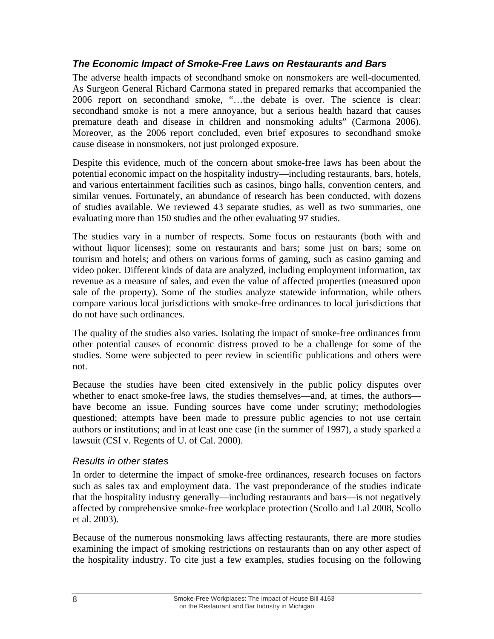#### <span id="page-11-0"></span>*The Economic Impact of Smoke-Free Laws on Restaurants and Bars*

The adverse health impacts of secondhand smoke on nonsmokers are well-documented. As Surgeon General Richard Carmona stated in prepared remarks that accompanied the 2006 report on secondhand smoke, "…the debate is over. The science is clear: secondhand smoke is not a mere annoyance, but a serious health hazard that causes premature death and disease in children and nonsmoking adults" (Carmona 2006). Moreover, as the 2006 report concluded, even brief exposures to secondhand smoke cause disease in nonsmokers, not just prolonged exposure.

Despite this evidence, much of the concern about smoke-free laws has been about the potential economic impact on the hospitality industry—including restaurants, bars, hotels, and various entertainment facilities such as casinos, bingo halls, convention centers, and similar venues. Fortunately, an abundance of research has been conducted, with dozens of studies available. We reviewed 43 separate studies, as well as two summaries, one evaluating more than 150 studies and the other evaluating 97 studies.

The studies vary in a number of respects. Some focus on restaurants (both with and without liquor licenses); some on restaurants and bars; some just on bars; some on tourism and hotels; and others on various forms of gaming, such as casino gaming and video poker. Different kinds of data are analyzed, including employment information, tax revenue as a measure of sales, and even the value of affected properties (measured upon sale of the property). Some of the studies analyze statewide information, while others compare various local jurisdictions with smoke-free ordinances to local jurisdictions that do not have such ordinances.

The quality of the studies also varies. Isolating the impact of smoke-free ordinances from other potential causes of economic distress proved to be a challenge for some of the studies. Some were subjected to peer review in scientific publications and others were not.

Because the studies have been cited extensively in the public policy disputes over whether to enact smoke-free laws, the studies themselves—and, at times, the authors have become an issue. Funding sources have come under scrutiny; methodologies questioned; attempts have been made to pressure public agencies to not use certain authors or institutions; and in at least one case (in the summer of 1997), a study sparked a lawsuit (CSI v. Regents of U. of Cal. 2000).

#### *Results in other states*

In order to determine the impact of smoke-free ordinances, research focuses on factors such as sales tax and employment data. The vast preponderance of the studies indicate that the hospitality industry generally—including restaurants and bars—is not negatively affected by comprehensive smoke-free workplace protection (Scollo and Lal 2008, Scollo et al. 2003).

Because of the numerous nonsmoking laws affecting restaurants, there are more studies examining the impact of smoking restrictions on restaurants than on any other aspect of the hospitality industry. To cite just a few examples, studies focusing on the following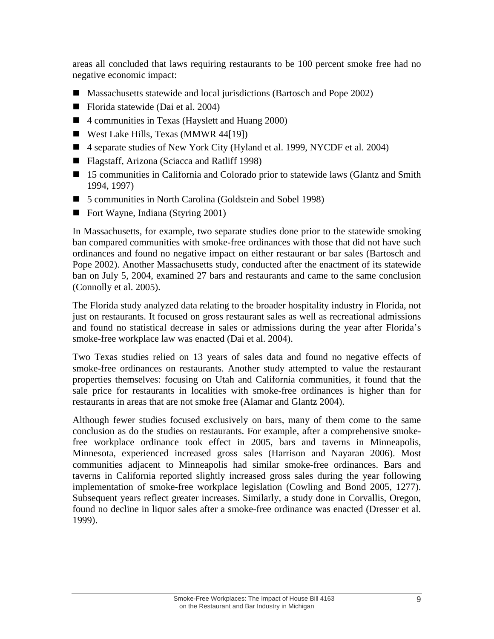areas all concluded that laws requiring restaurants to be 100 percent smoke free had no negative economic impact:

- Massachusetts statewide and local jurisdictions (Bartosch and Pope 2002)
- Florida statewide (Dai et al. 2004)
- 4 communities in Texas (Hayslett and Huang 2000)
- West Lake Hills, Texas (MMWR 44[19])
- 4 separate studies of New York City (Hyland et al. 1999, NYCDF et al. 2004)
- Flagstaff, Arizona (Sciacca and Ratliff 1998)
- 15 communities in California and Colorado prior to statewide laws (Glantz and Smith 1994, 1997)
- 5 communities in North Carolina (Goldstein and Sobel 1998)
- Fort Wayne, Indiana (Styring 2001)

In Massachusetts, for example, two separate studies done prior to the statewide smoking ban compared communities with smoke-free ordinances with those that did not have such ordinances and found no negative impact on either restaurant or bar sales (Bartosch and Pope 2002). Another Massachusetts study, conducted after the enactment of its statewide ban on July 5, 2004, examined 27 bars and restaurants and came to the same conclusion (Connolly et al. 2005).

The Florida study analyzed data relating to the broader hospitality industry in Florida, not just on restaurants. It focused on gross restaurant sales as well as recreational admissions and found no statistical decrease in sales or admissions during the year after Florida's smoke-free workplace law was enacted (Dai et al. 2004).

Two Texas studies relied on 13 years of sales data and found no negative effects of smoke-free ordinances on restaurants. Another study attempted to value the restaurant properties themselves: focusing on Utah and California communities, it found that the sale price for restaurants in localities with smoke-free ordinances is higher than for restaurants in areas that are not smoke free (Alamar and Glantz 2004).

Although fewer studies focused exclusively on bars, many of them come to the same conclusion as do the studies on restaurants. For example, after a comprehensive smokefree workplace ordinance took effect in 2005, bars and taverns in Minneapolis, Minnesota, experienced increased gross sales (Harrison and Nayaran 2006). Most communities adjacent to Minneapolis had similar smoke-free ordinances. Bars and taverns in California reported slightly increased gross sales during the year following implementation of smoke-free workplace legislation (Cowling and Bond 2005, 1277). Subsequent years reflect greater increases. Similarly, a study done in Corvallis, Oregon, found no decline in liquor sales after a smoke-free ordinance was enacted (Dresser et al. 1999).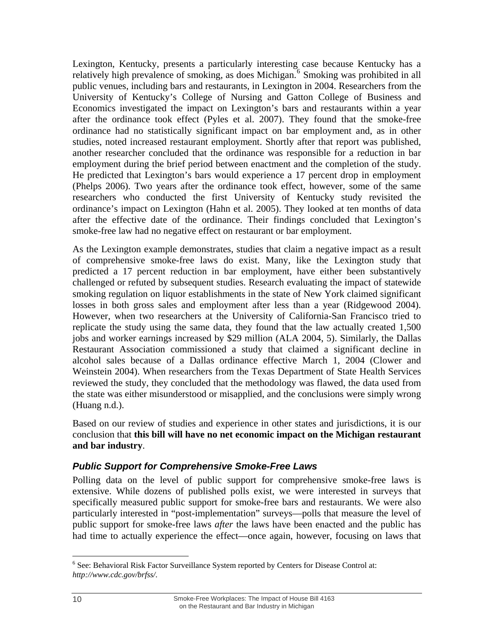<span id="page-13-0"></span>Lexington, Kentucky, presents a particularly interesting case because Kentucky has a relatively high prevalence of smoking, as does Michigan.<sup>[6](#page-13-0)</sup> Smoking was prohibited in all public venues, including bars and restaurants, in Lexington in 2004. Researchers from the University of Kentucky's College of Nursing and Gatton College of Business and Economics investigated the impact on Lexington's bars and restaurants within a year after the ordinance took effect (Pyles et al. 2007). They found that the smoke-free ordinance had no statistically significant impact on bar employment and, as in other studies, noted increased restaurant employment. Shortly after that report was published, another researcher concluded that the ordinance was responsible for a reduction in bar employment during the brief period between enactment and the completion of the study. He predicted that Lexington's bars would experience a 17 percent drop in employment (Phelps 2006). Two years after the ordinance took effect, however, some of the same researchers who conducted the first University of Kentucky study revisited the ordinance's impact on Lexington (Hahn et al. 2005). They looked at ten months of data after the effective date of the ordinance. Their findings concluded that Lexington's smoke-free law had no negative effect on restaurant or bar employment.

As the Lexington example demonstrates, studies that claim a negative impact as a result of comprehensive smoke-free laws do exist. Many, like the Lexington study that predicted a 17 percent reduction in bar employment, have either been substantively challenged or refuted by subsequent studies. Research evaluating the impact of statewide smoking regulation on liquor establishments in the state of New York claimed significant losses in both gross sales and employment after less than a year (Ridgewood 2004). However, when two researchers at the University of California-San Francisco tried to replicate the study using the same data, they found that the law actually created 1,500 jobs and worker earnings increased by \$29 million (ALA 2004, 5). Similarly, the Dallas Restaurant Association commissioned a study that claimed a significant decline in alcohol sales because of a Dallas ordinance effective March 1, 2004 (Clower and Weinstein 2004). When researchers from the Texas Department of State Health Services reviewed the study, they concluded that the methodology was flawed, the data used from the state was either misunderstood or misapplied, and the conclusions were simply wrong (Huang n.d.).

Based on our review of studies and experience in other states and jurisdictions, it is our conclusion that **this bill will have no net economic impact on the Michigan restaurant and bar industry**.

#### *Public Support for Comprehensive Smoke-Free Laws*

Polling data on the level of public support for comprehensive smoke-free laws is extensive. While dozens of published polls exist, we were interested in surveys that specifically measured public support for smoke-free bars and restaurants. We were also particularly interested in "post-implementation" surveys—polls that measure the level of public support for smoke-free laws *after* the laws have been enacted and the public has had time to actually experience the effect—once again, however, focusing on laws that

 $\overline{a}$ <sup>6</sup> See: Behavioral Risk Factor Surveillance System reported by Centers for Disease Control at: *http://www.cdc.gov/brfss/*.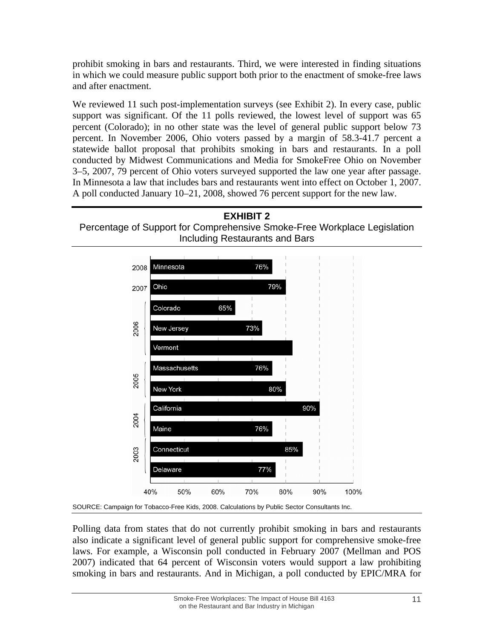prohibit smoking in bars and restaurants. Third, we were interested in finding situations in which we could measure public support both prior to the enactment of smoke-free laws and after enactment.

We reviewed 11 such post-implementation surveys (see Exhibit 2). In every case, public support was significant. Of the 11 polls reviewed, the lowest level of support was 65 percent (Colorado); in no other state was the level of general public support below 73 percent. In November 2006, Ohio voters passed by a margin of 58.3-41.7 percent a statewide ballot proposal that prohibits smoking in bars and restaurants. In a poll conducted by Midwest Communications and Media for SmokeFree Ohio on November 3–5, 2007, 79 percent of Ohio voters surveyed supported the law one year after passage. In Minnesota a law that includes bars and restaurants went into effect on October 1, 2007. A poll conducted January 10–21, 2008, showed 76 percent support for the new law.





Polling data from states that do not currently prohibit smoking in bars and restaurants also indicate a significant level of general public support for comprehensive smoke-free laws. For example, a Wisconsin poll conducted in February 2007 (Mellman and POS 2007) indicated that 64 percent of Wisconsin voters would support a law prohibiting smoking in bars and restaurants. And in Michigan, a poll conducted by EPIC/MRA for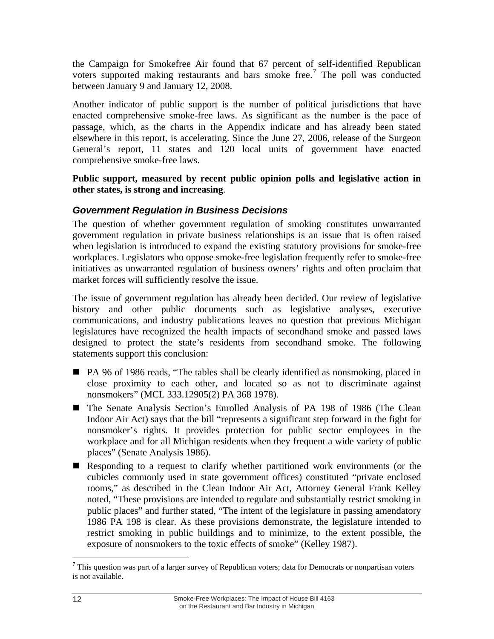<span id="page-15-0"></span>the Campaign for Smokefree Air found that 67 percent of self-identified Republican voters supported making restaurants and bars smoke free.<sup>[7](#page-15-0)</sup> The poll was conducted between January 9 and January 12, 2008.

Another indicator of public support is the number of political jurisdictions that have enacted comprehensive smoke-free laws. As significant as the number is the pace of passage, which, as the charts in the Appendix indicate and has already been stated elsewhere in this report, is accelerating. Since the June 27, 2006, release of the Surgeon General's report, 11 states and 120 local units of government have enacted comprehensive smoke-free laws.

**Public support, measured by recent public opinion polls and legislative action in other states, is strong and increasing**.

## *Government Regulation in Business Decisions*

The question of whether government regulation of smoking constitutes unwarranted government regulation in private business relationships is an issue that is often raised when legislation is introduced to expand the existing statutory provisions for smoke-free workplaces. Legislators who oppose smoke-free legislation frequently refer to smoke-free initiatives as unwarranted regulation of business owners' rights and often proclaim that market forces will sufficiently resolve the issue.

The issue of government regulation has already been decided. Our review of legislative history and other public documents such as legislative analyses, executive communications, and industry publications leaves no question that previous Michigan legislatures have recognized the health impacts of secondhand smoke and passed laws designed to protect the state's residents from secondhand smoke. The following statements support this conclusion:

- PA 96 of 1986 reads, "The tables shall be clearly identified as nonsmoking, placed in close proximity to each other, and located so as not to discriminate against nonsmokers" (MCL 333.12905(2) PA 368 1978).
- The Senate Analysis Section's Enrolled Analysis of PA 198 of 1986 (The Clean Indoor Air Act) says that the bill "represents a significant step forward in the fight for nonsmoker's rights. It provides protection for public sector employees in the workplace and for all Michigan residents when they frequent a wide variety of public places" (Senate Analysis 1986).
- Responding to a request to clarify whether partitioned work environments (or the cubicles commonly used in state government offices) constituted "private enclosed rooms," as described in the Clean Indoor Air Act, Attorney General Frank Kelley noted, "These provisions are intended to regulate and substantially restrict smoking in public places" and further stated, "The intent of the legislature in passing amendatory 1986 PA 198 is clear. As these provisions demonstrate, the legislature intended to restrict smoking in public buildings and to minimize, to the extent possible, the exposure of nonsmokers to the toxic effects of smoke" (Kelley 1987).

 $\overline{a}$  $7$  This question was part of a larger survey of Republican voters; data for Democrats or nonpartisan voters is not available.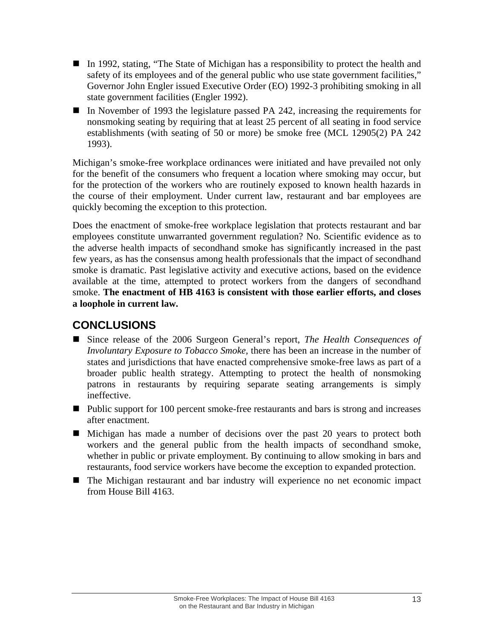- <span id="page-16-0"></span>In 1992, stating, "The State of Michigan has a responsibility to protect the health and safety of its employees and of the general public who use state government facilities," Governor John Engler issued Executive Order (EO) 1992-3 prohibiting smoking in all state government facilities (Engler 1992).
- In November of 1993 the legislature passed PA 242, increasing the requirements for nonsmoking seating by requiring that at least 25 percent of all seating in food service establishments (with seating of 50 or more) be smoke free (MCL 12905(2) PA 242 1993).

Michigan's smoke-free workplace ordinances were initiated and have prevailed not only for the benefit of the consumers who frequent a location where smoking may occur, but for the protection of the workers who are routinely exposed to known health hazards in the course of their employment. Under current law, restaurant and bar employees are quickly becoming the exception to this protection.

Does the enactment of smoke-free workplace legislation that protects restaurant and bar employees constitute unwarranted government regulation? No. Scientific evidence as to the adverse health impacts of secondhand smoke has significantly increased in the past few years, as has the consensus among health professionals that the impact of secondhand smoke is dramatic. Past legislative activity and executive actions, based on the evidence available at the time, attempted to protect workers from the dangers of secondhand smoke. **The enactment of HB 4163 is consistent with those earlier efforts, and closes a loophole in current law.**

# **CONCLUSIONS**

- Since release of the 2006 Surgeon General's report, *The Health Consequences of Involuntary Exposure to Tobacco Smoke,* there has been an increase in the number of states and jurisdictions that have enacted comprehensive smoke-free laws as part of a broader public health strategy. Attempting to protect the health of nonsmoking patrons in restaurants by requiring separate seating arrangements is simply ineffective.
- **Public support for 100 percent smoke-free restaurants and bars is strong and increases** after enactment.
- Michigan has made a number of decisions over the past 20 years to protect both workers and the general public from the health impacts of secondhand smoke, whether in public or private employment. By continuing to allow smoking in bars and restaurants, food service workers have become the exception to expanded protection.
- The Michigan restaurant and bar industry will experience no net economic impact from House Bill 4163.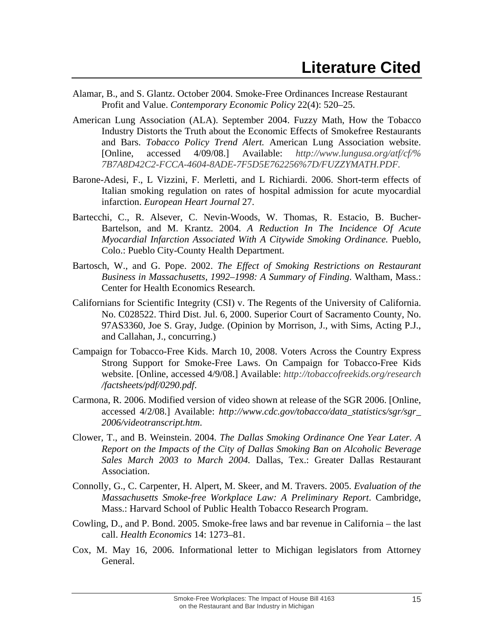- <span id="page-18-0"></span>Alamar, B., and S. Glantz. October 2004. Smoke-Free Ordinances Increase Restaurant Profit and Value. *Contemporary Economic Policy* 22(4): 520–25.
- American Lung Association (ALA). September 2004. Fuzzy Math, How the Tobacco Industry Distorts the Truth about the Economic Effects of Smokefree Restaurants and Bars. *Tobacco Policy Trend Alert.* American Lung Association website. [Online, accessed 4/09/08.] Available: *http://www.lungusa.org/atf/cf/% 7B7A8D42C2-FCCA-4604-8ADE-7F5D5E762256%7D/FUZZYMATH.PDF.*
- Barone-Adesi, F., L Vizzini, F. Merletti, and L Richiardi. 2006. Short-term effects of Italian smoking regulation on rates of hospital admission for acute myocardial infarction. *European Heart Journal* 27.
- Bartecchi, C., R. Alsever, C. Nevin-Woods, W. Thomas, R. Estacio, B. Bucher-Bartelson, and M. Krantz. 2004. *A Reduction In The Incidence Of Acute Myocardial Infarction Associated With A Citywide Smoking Ordinance.* Pueblo, Colo.: Pueblo City-County Health Department.
- Bartosch, W., and G. Pope. 2002. *The Effect of Smoking Restrictions on Restaurant Business in Massachusetts, 1992–1998: A Summary of Finding*. Waltham, Mass.: Center for Health Economics Research.
- Californians for Scientific Integrity (CSI) v. The Regents of the University of California. No. C028522. Third Dist. Jul. 6, 2000. Superior Court of Sacramento County, No. 97AS3360, Joe S. Gray, Judge. (Opinion by Morrison, J., with Sims, Acting P.J., and Callahan, J., concurring.)
- Campaign for Tobacco-Free Kids. March 10, 2008. Voters Across the Country Express Strong Support for Smoke-Free Laws. On Campaign for Tobacco-Free Kids website. [Online, accessed 4/9/08.] Available: *<http://tobaccofreekids.org/research> /factsheets/pdf/0290.pdf*.
- Carmona, R. 2006. Modified version of video shown at release of the SGR 2006. [Online, accessed 4/2/08.] Available: *http://www.cdc.gov/tobacco/data\_statistics/sgr/sgr\_ 2006/videotranscript.htm*.
- Clower, T., and B. Weinstein. 2004. *The Dallas Smoking Ordinance One Year Later. A Report on the Impacts of the City of Dallas Smoking Ban on Alcoholic Beverage Sales March 2003 to March 2004.* Dallas, Tex.: Greater Dallas Restaurant Association.
- Connolly, G., C. Carpenter, H. Alpert, M. Skeer, and M. Travers. 2005. *Evaluation of the Massachusetts Smoke-free Workplace Law: A Preliminary Report*. Cambridge, Mass.: Harvard School of Public Health Tobacco Research Program.
- Cowling, D., and P. Bond. 2005. Smoke-free laws and bar revenue in California the last call. *Health Economics* 14: 1273–81.
- Cox, M. May 16, 2006. Informational letter to Michigan legislators from Attorney General.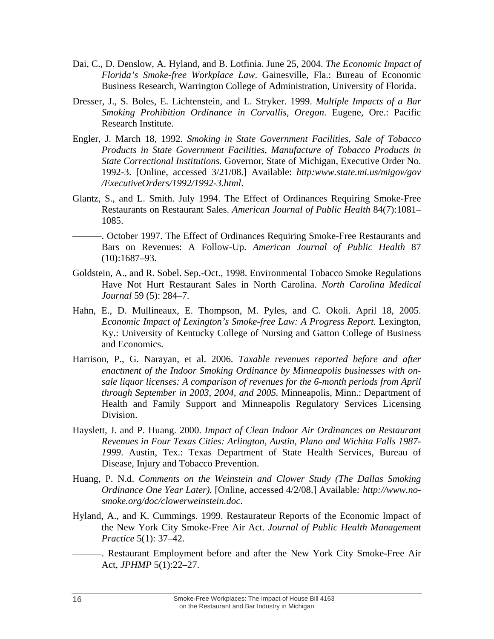- Dai, C., D. Denslow, A. Hyland, and B. Lotfinia. June 25, 2004. *The Economic Impact of Florida's Smoke-free Workplace Law*. Gainesville, Fla.: Bureau of Economic Business Research, Warrington College of Administration, University of Florida.
- Dresser, J., S. Boles, E. Lichtenstein, and L. Stryker. 1999. *Multiple Impacts of a Bar Smoking Prohibition Ordinance in Corvallis, Oregon*. Eugene, Ore.: Pacific Research Institute.
- Engler, J. March 18, 1992. *Smoking in State Government Facilities, Sale of Tobacco Products in State Government Facilities, Manufacture of Tobacco Products in State Correctional Institutions.* Governor, State of Michigan, Executive Order No. 1992-3. [Online, accessed 3/21/08.] Available: *http:www.state.mi.us/migov/gov /ExecutiveOrders/1992/1992-3.html*.
- Glantz, S., and L. Smith. July 1994. The Effect of Ordinances Requiring Smoke-Free Restaurants on Restaurant Sales. *American Journal of Public Health* 84(7):1081– 1085.
- ———. October 1997. The Effect of Ordinances Requiring Smoke-Free Restaurants and Bars on Revenues: A Follow-Up. *American Journal of Public Health* 87 (10):1687–93.
- Goldstein, A., and R. Sobel. Sep.-Oct., 1998. Environmental Tobacco Smoke Regulations Have Not Hurt Restaurant Sales in North Carolina. *North Carolina Medical Journal* 59 (5): 284–7.
- Hahn, E., D. Mullineaux, E. Thompson, M. Pyles, and C. Okoli. April 18, 2005. *Economic Impact of Lexington's Smoke-free Law: A Progress Report.* Lexington, Ky.: University of Kentucky College of Nursing and Gatton College of Business and Economics.
- Harrison, P., G. Narayan, et al. 2006. *Taxable revenues reported before and after enactment of the Indoor Smoking Ordinance by Minneapolis businesses with onsale liquor licenses: A comparison of revenues for the 6-month periods from April through September in 2003, 2004, and 2005.* Minneapolis, Minn.: Department of Health and Family Support and Minneapolis Regulatory Services Licensing Division.
- Hayslett, J. and P. Huang. 2000. *Impact of Clean Indoor Air Ordinances on Restaurant Revenues in Four Texas Cities: Arlington, Austin, Plano and Wichita Falls 1987- 1999*. Austin, Tex.: Texas Department of State Health Services, Bureau of Disease, Injury and Tobacco Prevention.
- Huang, P. N.d. *Comments on the Weinstein and Clower Study (The Dallas Smoking Ordinance One Year Later).* [Online, accessed 4/2/08.] Available*: http://www.nosmoke.org/doc/clowerweinstein.doc*.
- Hyland, A., and K. Cummings. 1999. Restaurateur Reports of the Economic Impact of the New York City Smoke-Free Air Act. *Journal of Public Health Management Practice* 5(1): 37–42.
	- ———. Restaurant Employment before and after the New York City Smoke-Free Air Act, *JPHMP* 5(1):22–27.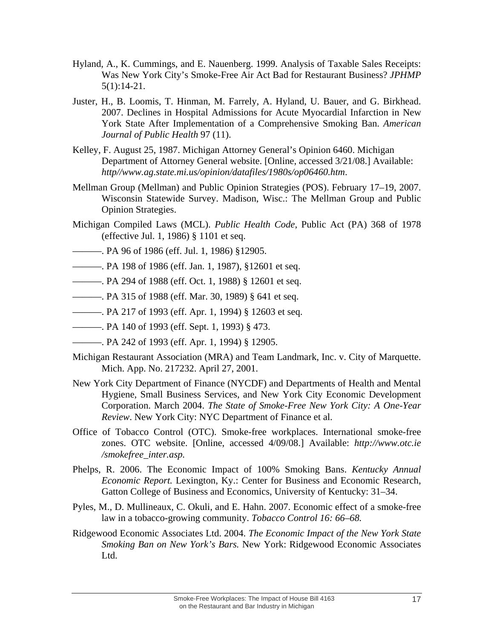- Hyland, A., K. Cummings, and E. Nauenberg. 1999. Analysis of Taxable Sales Receipts: Was New York City's Smoke-Free Air Act Bad for Restaurant Business? *JPHMP* 5(1):14-21.
- Juster, H., B. Loomis, T. Hinman, M. Farrely, A. Hyland, U. Bauer, and G. Birkhead. 2007. Declines in Hospital Admissions for Acute Myocardial Infarction in New York State After Implementation of a Comprehensive Smoking Ban. *American Journal of Public Health* 97 (11).
- Kelley, F. August 25, 1987. Michigan Attorney General's Opinion 6460. Michigan Department of Attorney General website. [Online, accessed 3/21/08.] Available: *http//www.ag.state.mi.us/opinion/datafiles/1980s/op06460.htm*.
- Mellman Group (Mellman) and Public Opinion Strategies (POS). February 17–19, 2007. Wisconsin Statewide Survey. Madison, Wisc.: The Mellman Group and Public Opinion Strategies.
- Michigan Compiled Laws (MCL). *Public Health Code*, Public Act (PA) 368 of 1978 (effective Jul. 1, 1986) § 1101 et seq.
- ———. PA 96 of 1986 (eff. Jul. 1, 1986) §12905.
- ———. PA 198 of 1986 (eff. Jan. 1, 1987), §12601 et seq.
- ———. PA 294 of 1988 (eff. Oct. 1, 1988) § 12601 et seq.
- ———. PA 315 of 1988 (eff. Mar. 30, 1989) § 641 et seq.
- ———. PA 217 of 1993 (eff. Apr. 1, 1994) § 12603 et seq.
- ———. PA 140 of 1993 (eff. Sept. 1, 1993) § 473.
- ———. PA 242 of 1993 (eff. Apr. 1, 1994) § 12905.
- Michigan Restaurant Association (MRA) and Team Landmark, Inc. v. City of Marquette. Mich. App. No. 217232. April 27, 2001.
- New York City Department of Finance (NYCDF) and Departments of Health and Mental Hygiene, Small Business Services, and New York City Economic Development Corporation. March 2004. *The State of Smoke-Free New York City: A One-Year Review*. New York City: NYC Department of Finance et al.
- Office of Tobacco Control (OTC). Smoke-free workplaces. International smoke-free zones. OTC website. [Online, accessed 4/09/08.] Available: *http://www.otc.ie /smokefree\_inter.asp.*
- Phelps, R. 2006. The Economic Impact of 100% Smoking Bans. *Kentucky Annual Economic Report.* Lexington, Ky.: Center for Business and Economic Research, Gatton College of Business and Economics, University of Kentucky: 31–34.
- Pyles, M., D. Mullineaux, C. Okuli, and E. Hahn. 2007. Economic effect of a smoke-free law in a tobacco-growing community. *Tobacco Control 16: 66–68.*
- Ridgewood Economic Associates Ltd. 2004. *The Economic Impact of the New York State Smoking Ban on New York's Bars.* New York: Ridgewood Economic Associates Ltd.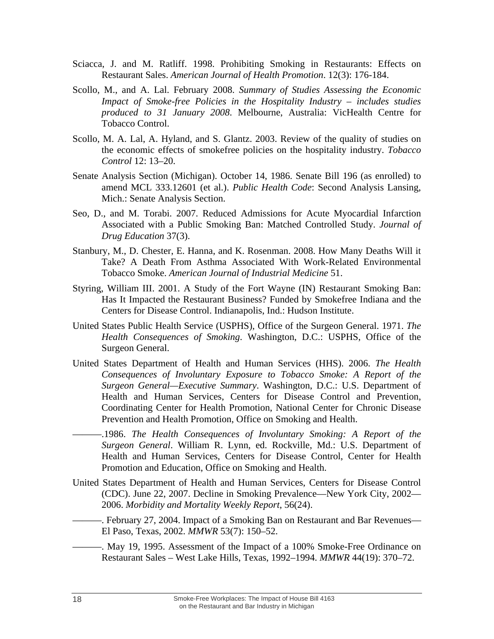- Sciacca, J. and M. Ratliff. 1998. Prohibiting Smoking in Restaurants: Effects on Restaurant Sales. *American Journal of Health Promotion*. 12(3): 176-184.
- Scollo, M., and A. Lal. February 2008. *Summary of Studies Assessing the Economic Impact of Smoke-free Policies in the Hospitality Industry* – *includes studies produced to 31 January 2008*. Melbourne, Australia: VicHealth Centre for Tobacco Control.
- Scollo, M. A. Lal, A. Hyland, and S. Glantz. 2003. Review of the quality of studies on the economic effects of smokefree policies on the hospitality industry. *Tobacco Control* 12: 13–20.
- Senate Analysis Section (Michigan). October 14, 1986. Senate Bill 196 (as enrolled) to amend MCL 333.12601 (et al.). *Public Health Code*: Second Analysis Lansing, Mich.: Senate Analysis Section.
- Seo, D., and M. Torabi. 2007. Reduced Admissions for Acute Myocardial Infarction Associated with a Public Smoking Ban: Matched Controlled Study. *Journal of Drug Education* 37(3).
- Stanbury, M., D. Chester, E. Hanna, and K. Rosenman. 2008. How Many Deaths Will it Take? A Death From Asthma Associated With Work-Related Environmental Tobacco Smoke. *American Journal of Industrial Medicine* 51.
- Styring, William III. 2001. A Study of the Fort Wayne (IN) Restaurant Smoking Ban: Has It Impacted the Restaurant Business? Funded by Smokefree Indiana and the Centers for Disease Control. Indianapolis, Ind.: Hudson Institute.
- United States Public Health Service (USPHS), Office of the Surgeon General. 1971. *The Health Consequences of Smoking*. Washington, D.C.: USPHS, Office of the Surgeon General.
- United States Department of Health and Human Services (HHS). 2006. *The Health Consequences of Involuntary Exposure to Tobacco Smoke: A Report of the Surgeon General—Executive Summary*. Washington, D.C.: U.S. Department of Health and Human Services, Centers for Disease Control and Prevention, Coordinating Center for Health Promotion, National Center for Chronic Disease Prevention and Health Promotion, Office on Smoking and Health.
- -1986. The Health Consequences of Involuntary Smoking: A Report of the *Surgeon General*. William R. Lynn, ed. Rockville, Md.: U.S. Department of Health and Human Services, Centers for Disease Control, Center for Health Promotion and Education, Office on Smoking and Health.
- United States Department of Health and Human Services, Centers for Disease Control (CDC). June 22, 2007. Decline in Smoking Prevalence—New York City, 2002— 2006. *Morbidity and Mortality Weekly Report*, 56(24).
- ———. February 27, 2004. Impact of a Smoking Ban on Restaurant and Bar Revenues— El Paso, Texas, 2002. *MMWR* 53(7): 150–52.
- ———. May 19, 1995. Assessment of the Impact of a 100% Smoke-Free Ordinance on Restaurant Sales – West Lake Hills, Texas, 1992–1994. *MMWR* 44(19): 370–72.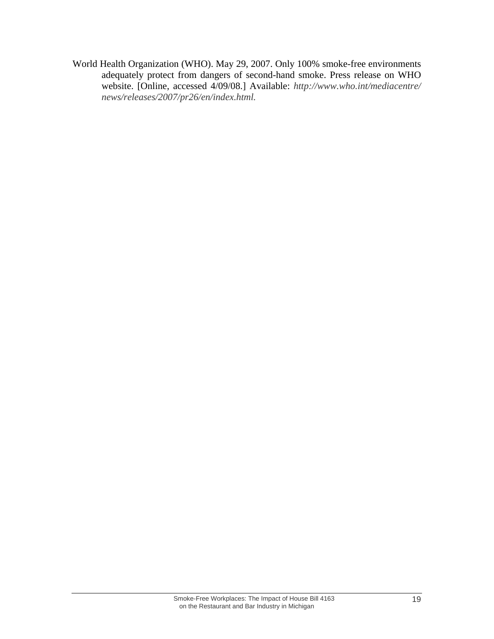World Health Organization (WHO). May 29, 2007. Only 100% smoke-free environments adequately protect from dangers of second-hand smoke. Press release on WHO website. [Online, accessed 4/09/08.] Available: *http://www.who.int/mediacentre/ news/releases/2007/pr26/en/index.html.*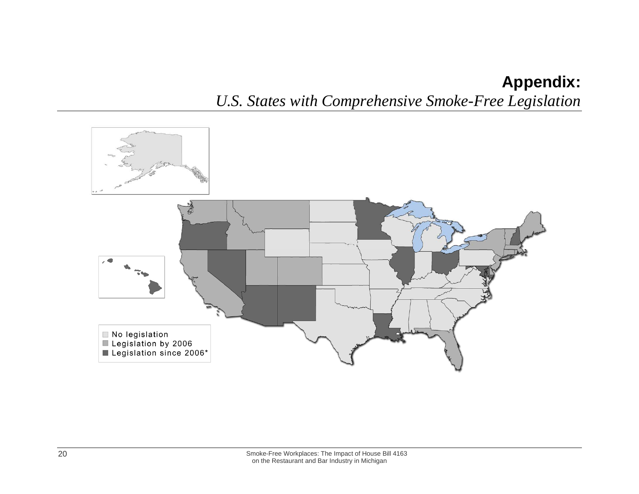# **Appendix:**  *U.S. States with Comprehensive Smoke-Free Legislation*

<span id="page-23-0"></span>